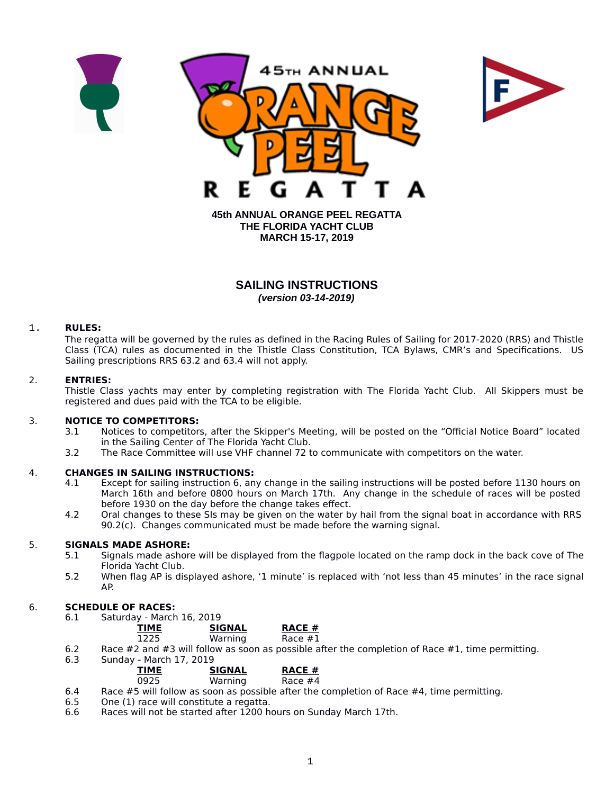



**45th ANNUAL ORANGE PEEL REGATTA THE FLORIDA YACHT CLUB MARCH 15-17, 2019**

# **SAILING INSTRUCTIONS** *(version 03-14-2019)*

### 1. **RULES:**

The regatta will be governed by the rules as defined in the Racing Rules of Sailing for 2017-2020 (RRS) and Thistle Class (TCA) rules as documented in the Thistle Class Constitution, TCA Bylaws, CMR's and Specifications. US Sailing prescriptions RRS 63.2 and 63.4 will not apply.

### 2. **ENTRIES:**

Thistle Class yachts may enter by completing registration with The Florida Yacht Club. All Skippers must be registered and dues paid with the TCA to be eligible.

### 3. **NOTICE TO COMPETITORS:**

- 3.1 Notices to competitors, after the Skipper's Meeting, will be posted on the "Official Notice Board" located in the Sailing Center of The Florida Yacht Club.
- 3.2 The Race Committee will use VHF channel 72 to communicate with competitors on the water.

### 4. **CHANGES IN SAILING INSTRUCTIONS:**

- 4.1 Except for sailing instruction 6, any change in the sailing instructions will be posted before 1130 hours on March 16th and before 0800 hours on March 17th. Any change in the schedule of races will be posted before 1930 on the day before the change takes effect.
- 4.2 Oral changes to these SIs may be given on the water by hail from the signal boat in accordance with RRS 90.2(c). Changes communicated must be made before the warning signal.

#### 5. **SIGNALS MADE ASHORE:**

- 5.1 Signals made ashore will be displayed from the flagpole located on the ramp dock in the back cove of The Florida Yacht Club.
- 5.2 When flag AP is displayed ashore, '1 minute' is replaced with 'not less than 45 minutes' in the race signal AP.

# 6. **SCHEDULE OF RACES:**

Saturday - March 16, 2019

| <b>TIME</b> | <b>SIGNAL</b> | <b>RACE #</b> |
|-------------|---------------|---------------|
| 1225        | Warning       | Race #1       |
| - 1 -       | .             |               |

- 6.2 Race #2 and #3 will follow as soon as possible after the completion of Race #1, time permitting.
- 6.3 Sunday March 17, 2019

| <b>TIME</b> | <b>SIGNAL</b> | <b>RACE #</b> |
|-------------|---------------|---------------|
| 0925        | Warning       | Race #4       |

- 6.4 Race  $#5$  will follow as soon as possible after the completion of Race  $#4$ , time permitting.<br>6.5 One (1) race will constitute a regatta.
- One (1) race will constitute a regatta.
- 6.6 Races will not be started after 1200 hours on Sunday March 17th.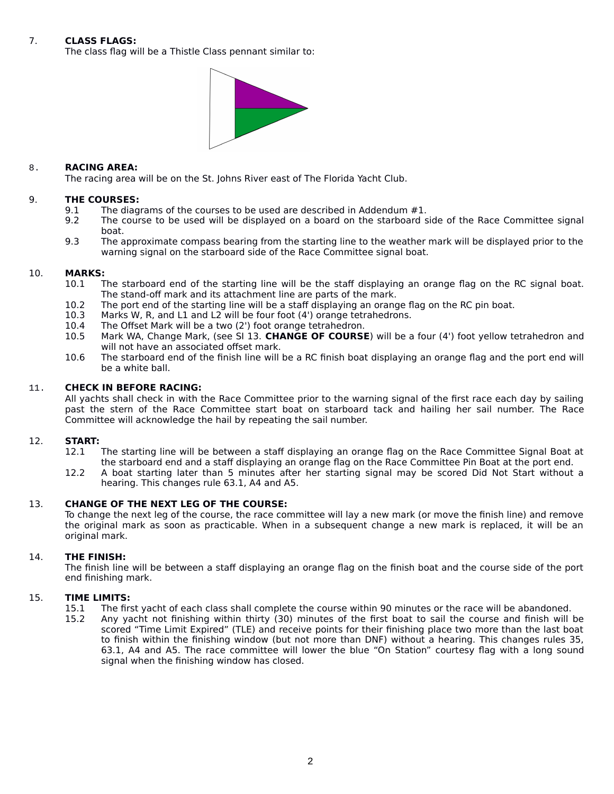### 7. **CLASS FLAGS:**

The class flag will be a Thistle Class pennant similar to:



#### 8. **RACING AREA:**

The racing area will be on the St. Johns River east of The Florida Yacht Club.

#### 9. **THE COURSES:**

- 9.1 The diagrams of the courses to be used are described in Addendum #1.<br>9.2 The course to be used will be displayed on a board on the starboard s
- The course to be used will be displayed on a board on the starboard side of the Race Committee signal boat.
- 9.3 The approximate compass bearing from the starting line to the weather mark will be displayed prior to the warning signal on the starboard side of the Race Committee signal boat.

#### 10. **MARKS:**

- 10.1 The starboard end of the starting line will be the staff displaying an orange flag on the RC signal boat. The stand-off mark and its attachment line are parts of the mark.
- 10.2 The port end of the starting line will be a staff displaying an orange flag on the RC pin boat.<br>10.3 Marks W, R, and L1 and L2 will be four foot (4') orange tetrahedrons.
- 10.3 Marks W, R, and L1 and L2 will be four foot (4') orange tetrahedrons.<br>10.4 The Offset Mark will be a two (2') foot orange tetrahedron.
- 10.4 The Offset Mark will be a two (2') foot orange tetrahedron.<br>10.5 Mark WA, Change Mark, (see SI 13. CHANGE OF COURSE
- Mark WA, Change Mark, (see SI 13. CHANGE OF COURSE) will be a four (4') foot yellow tetrahedron and will not have an associated offset mark.
- 10.6 The starboard end of the finish line will be a RC finish boat displaying an orange flag and the port end will be a white ball.

#### 11. **CHECK IN BEFORE RACING:**

All yachts shall check in with the Race Committee prior to the warning signal of the first race each day by sailing past the stern of the Race Committee start boat on starboard tack and hailing her sail number. The Race Committee will acknowledge the hail by repeating the sail number.

# 12. **START:**

- The starting line will be between a staff displaying an orange flag on the Race Committee Signal Boat at the starboard end and a staff displaying an orange flag on the Race Committee Pin Boat at the port end.
- 12.2 A boat starting later than 5 minutes after her starting signal may be scored Did Not Start without a hearing. This changes rule 63.1, A4 and A5.

### 13. **CHANGE OF THE NEXT LEG OF THE COURSE:**

To change the next leg of the course, the race committee will lay a new mark (or move the finish line) and remove the original mark as soon as practicable. When in a subsequent change a new mark is replaced, it will be an original mark.

### 14. **THE FINISH:**

The finish line will be between a staff displaying an orange flag on the finish boat and the course side of the port end finishing mark.

# 15. **TIME LIMITS:**

- 15.1 The first yacht of each class shall complete the course within 90 minutes or the race will be abandoned.<br>15.2 Any vacht not finishing within thirty (30) minutes of the first boat to sail the course and finish will l
	- Any yacht not finishing within thirty (30) minutes of the first boat to sail the course and finish will be scored "Time Limit Expired" (TLE) and receive points for their finishing place two more than the last boat to finish within the finishing window (but not more than DNF) without a hearing. This changes rules 35, 63.1, A4 and A5. The race committee will lower the blue "On Station" courtesy flag with a long sound signal when the finishing window has closed.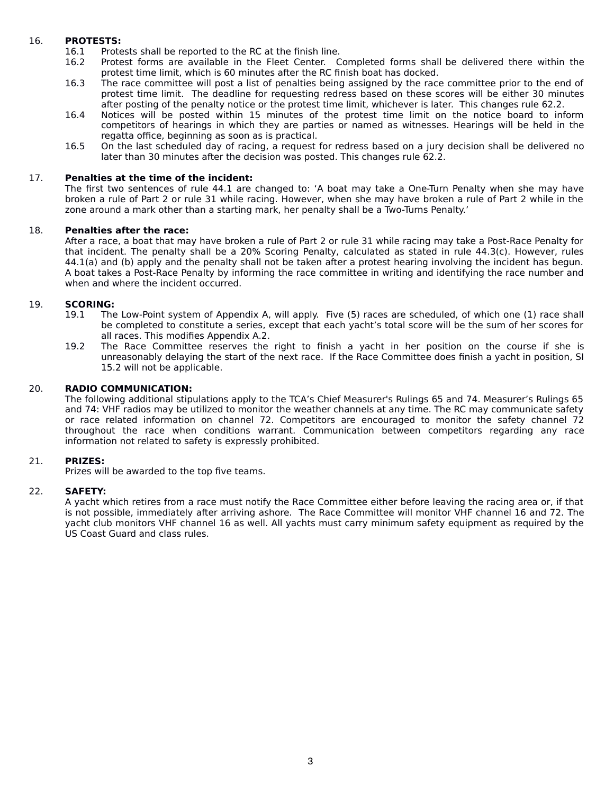## 16. **PROTESTS:**

- 16.1 Protests shall be reported to the RC at the finish line.<br>16.2 Protest forms are available in the Fleet Center. C
- Protest forms are available in the Fleet Center. Completed forms shall be delivered there within the protest time limit, which is 60 minutes after the RC finish boat has docked.
- 16.3 The race committee will post a list of penalties being assigned by the race committee prior to the end of protest time limit. The deadline for requesting redress based on these scores will be either 30 minutes after posting of the penalty notice or the protest time limit, whichever is later. This changes rule 62.2.
- 16.4 Notices will be posted within 15 minutes of the protest time limit on the notice board to inform competitors of hearings in which they are parties or named as witnesses. Hearings will be held in the regatta office, beginning as soon as is practical.
- 16.5 On the last scheduled day of racing, a request for redress based on a jury decision shall be delivered no later than 30 minutes after the decision was posted. This changes rule 62.2.

### 17. **Penalties at the time of the incident:**

The first two sentences of rule 44.1 are changed to: 'A boat may take a One-Turn Penalty when she may have broken a rule of Part 2 or rule 31 while racing. However, when she may have broken a rule of Part 2 while in the zone around a mark other than a starting mark, her penalty shall be a Two-Turns Penalty.'

### 18. **Penalties after the race:**

After a race, a boat that may have broken a rule of Part 2 or rule 31 while racing may take a Post-Race Penalty for that incident. The penalty shall be a 20% Scoring Penalty, calculated as stated in rule 44.3(c). However, rules 44.1(a) and (b) apply and the penalty shall not be taken after a protest hearing involving the incident has begun. A boat takes a Post-Race Penalty by informing the race committee in writing and identifying the race number and when and where the incident occurred.

## 19. **SCORING:**

- 19.1 The Low-Point system of Appendix A, will apply. Five (5) races are scheduled, of which one (1) race shall be completed to constitute a series, except that each yacht's total score will be the sum of her scores for all races. This modifies Appendix A.2.
- 19.2 The Race Committee reserves the right to finish a yacht in her position on the course if she is unreasonably delaying the start of the next race. If the Race Committee does finish a yacht in position, SI 15.2 will not be applicable.

## 20. **RADIO COMMUNICATION:**

The following additional stipulations apply to the TCA's Chief Measurer's Rulings 65 and 74. Measurer's Rulings 65 and 74: VHF radios may be utilized to monitor the weather channels at any time. The RC may communicate safety or race related information on channel 72. Competitors are encouraged to monitor the safety channel 72 throughout the race when conditions warrant. Communication between competitors regarding any race information not related to safety is expressly prohibited.

### 21. **PRIZES:**

Prizes will be awarded to the top five teams.

### 22. **SAFETY:**

A yacht which retires from a race must notify the Race Committee either before leaving the racing area or, if that is not possible, immediately after arriving ashore. The Race Committee will monitor VHF channel 16 and 72. The yacht club monitors VHF channel 16 as well. All yachts must carry minimum safety equipment as required by the US Coast Guard and class rules.